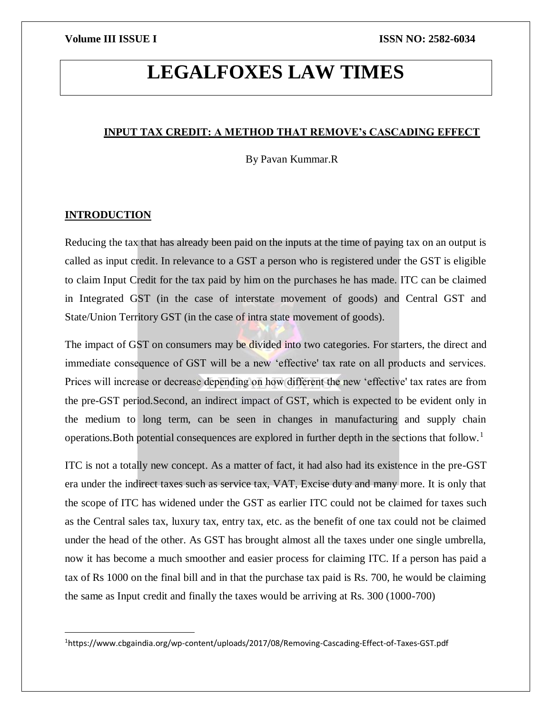# **LEGALFOXES LAW TIMES**

### **INPUT TAX CREDIT: A METHOD THAT REMOVE's CASCADING EFFECT**

By Pavan Kummar.R

### **INTRODUCTION**

 $\overline{a}$ 

Reducing the tax that has already been paid on the inputs at the time of paying tax on an output is called as input credit. In relevance to a GST a person who is registered under the GST is eligible to claim Input Credit for the tax paid by him on the purchases he has made. ITC can be claimed in Integrated GST (in the case of interstate movement of goods) and Central GST and State/Union Territory GST (in the case of intra state movement of goods).

The impact of GST on consumers may be divided into two categories. For starters, the direct and immediate consequence of GST will be a new 'effective' tax rate on all products and services. Prices will increase or decrease depending on how different the new 'effective' tax rates are from the pre-GST period.Second, an indirect impact of GST, which is expected to be evident only in the medium to long term, can be seen in changes in manufacturing and supply chain operations.Both potential consequences are explored in further depth in the sections that follow.<sup>1</sup>

ITC is not a totally new concept. As a matter of fact, it had also had its existence in the pre-GST era under the indirect taxes such as service tax, VAT, Excise duty and many more. It is only that the scope of ITC has widened under the GST as earlier ITC could not be claimed for taxes such as the Central sales tax, luxury tax, entry tax, etc. as the benefit of one tax could not be claimed under the head of the other. As GST has brought almost all the taxes under one single umbrella, now it has become a much smoother and easier process for claiming ITC. If a person has paid a tax of Rs 1000 on the final bill and in that the purchase tax paid is Rs. 700, he would be claiming the same as Input credit and finally the taxes would be arriving at Rs. 300 (1000-700)

<sup>1</sup>https://www.cbgaindia.org/wp-content/uploads/2017/08/Removing-Cascading-Effect-of-Taxes-GST.pdf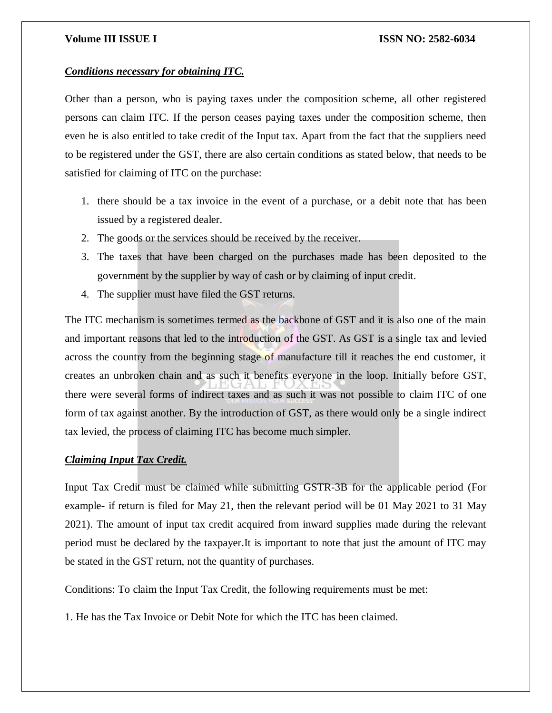#### *Conditions necessary for obtaining ITC.*

Other than a person, who is paying taxes under the composition scheme, all other registered persons can claim ITC. If the person ceases paying taxes under the composition scheme, then even he is also entitled to take credit of the Input tax. Apart from the fact that the suppliers need to be registered under the GST, there are also certain conditions as stated below, that needs to be satisfied for claiming of ITC on the purchase:

- 1. there should be a tax invoice in the event of a purchase, or a debit note that has been issued by a registered dealer.
- 2. The goods or the services should be received by the receiver.
- 3. The taxes that have been charged on the purchases made has been deposited to the government by the supplier by way of cash or by claiming of input credit.
- 4. The supplier must have filed the GST returns.

The ITC mechanism is sometimes termed as the backbone of GST and it is also one of the main and important reasons that led to the introduction of the GST. As GST is a single tax and levied across the country from the beginning stage of manufacture till it reaches the end customer, it creates an unbroken chain and as such it benefits everyone in the loop. Initially before GST, there were several forms of indirect taxes and as such it was not possible to claim ITC of one form of tax against another. By the introduction of GST, as there would only be a single indirect tax levied, the process of claiming ITC has become much simpler.

### *Claiming Input Tax Credit.*

Input Tax Credit must be claimed while submitting GSTR-3B for the applicable period (For example- if return is filed for May 21, then the relevant period will be 01 May 2021 to 31 May 2021). The amount of input tax credit acquired from inward supplies made during the relevant period must be declared by the taxpayer.It is important to note that just the amount of ITC may be stated in the GST return, not the quantity of purchases.

Conditions: To claim the Input Tax Credit, the following requirements must be met:

1. He has the Tax Invoice or Debit Note for which the ITC has been claimed.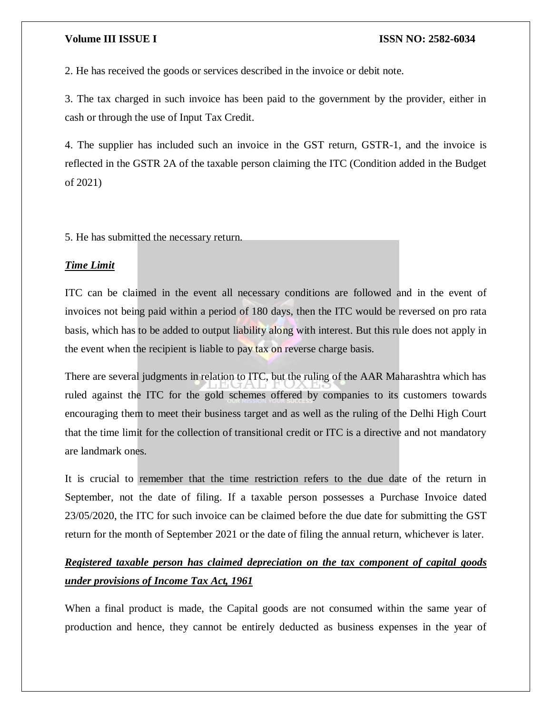2. He has received the goods or services described in the invoice or debit note.

3. The tax charged in such invoice has been paid to the government by the provider, either in cash or through the use of Input Tax Credit.

4. The supplier has included such an invoice in the GST return, GSTR-1, and the invoice is reflected in the GSTR 2A of the taxable person claiming the ITC (Condition added in the Budget of 2021)

5. He has submitted the necessary return.

#### *Time Limit*

ITC can be claimed in the event all necessary conditions are followed and in the event of invoices not being paid within a period of 180 days, then the ITC would be reversed on pro rata basis, which has to be added to output liability along with interest. But this rule does not apply in the event when the recipient is liable to pay tax on reverse charge basis.

There are several judgments in relation to ITC, but the ruling of the AAR Maharashtra which has ruled against the ITC for the gold schemes offered by companies to its customers towards encouraging them to meet their business target and as well as the ruling of the Delhi High Court that the time limit for the collection of transitional credit or ITC is a directive and not mandatory are landmark ones.

It is crucial to remember that the time restriction refers to the due date of the return in September, not the date of filing. If a taxable person possesses a Purchase Invoice dated 23/05/2020, the ITC for such invoice can be claimed before the due date for submitting the GST return for the month of September 2021 or the date of filing the annual return, whichever is later.

# *Registered taxable person has claimed depreciation on the tax component of capital goods under provisions of Income Tax Act, 1961*

When a final product is made, the Capital goods are not consumed within the same year of production and hence, they cannot be entirely deducted as business expenses in the year of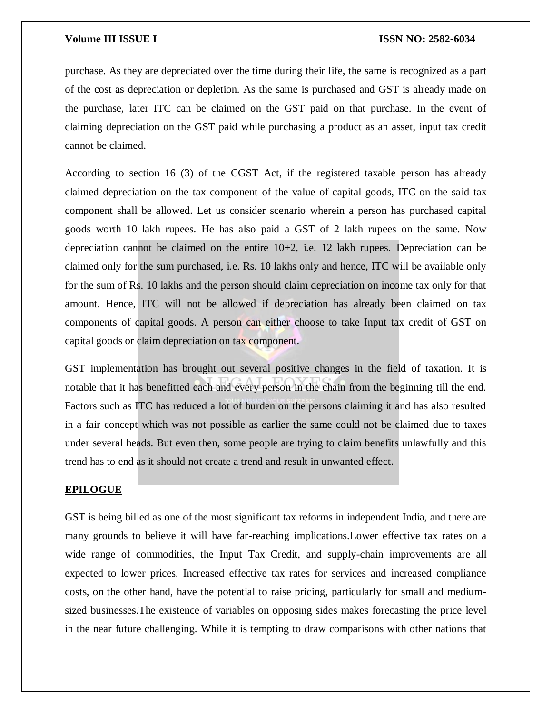purchase. As they are depreciated over the time during their life, the same is recognized as a part of the cost as depreciation or depletion. As the same is purchased and GST is already made on the purchase, later ITC can be claimed on the GST paid on that purchase. In the event of claiming depreciation on the GST paid while purchasing a product as an asset, input tax credit cannot be claimed.

According to section 16 (3) of the CGST Act, if the registered taxable person has already claimed depreciation on the tax component of the value of capital goods, ITC on the said tax component shall be allowed. Let us consider scenario wherein a person has purchased capital goods worth 10 lakh rupees. He has also paid a GST of 2 lakh rupees on the same. Now depreciation cannot be claimed on the entire 10+2, i.e. 12 lakh rupees. Depreciation can be claimed only for the sum purchased, i.e. Rs. 10 lakhs only and hence, ITC will be available only for the sum of Rs. 10 lakhs and the person should claim depreciation on income tax only for that amount. Hence, ITC will not be allowed if depreciation has already been claimed on tax components of capital goods. A person can either choose to take Input tax credit of GST on capital goods or claim depreciation on tax component.

GST implementation has brought out several positive changes in the field of taxation. It is notable that it has benefitted each and every person in the chain from the beginning till the end. Factors such as ITC has reduced a lot of burden on the persons claiming it and has also resulted in a fair concept which was not possible as earlier the same could not be claimed due to taxes under several heads. But even then, some people are trying to claim benefits unlawfully and this trend has to end as it should not create a trend and result in unwanted effect.

#### **EPILOGUE**

GST is being billed as one of the most significant tax reforms in independent India, and there are many grounds to believe it will have far-reaching implications.Lower effective tax rates on a wide range of commodities, the Input Tax Credit, and supply-chain improvements are all expected to lower prices. Increased effective tax rates for services and increased compliance costs, on the other hand, have the potential to raise pricing, particularly for small and mediumsized businesses.The existence of variables on opposing sides makes forecasting the price level in the near future challenging. While it is tempting to draw comparisons with other nations that